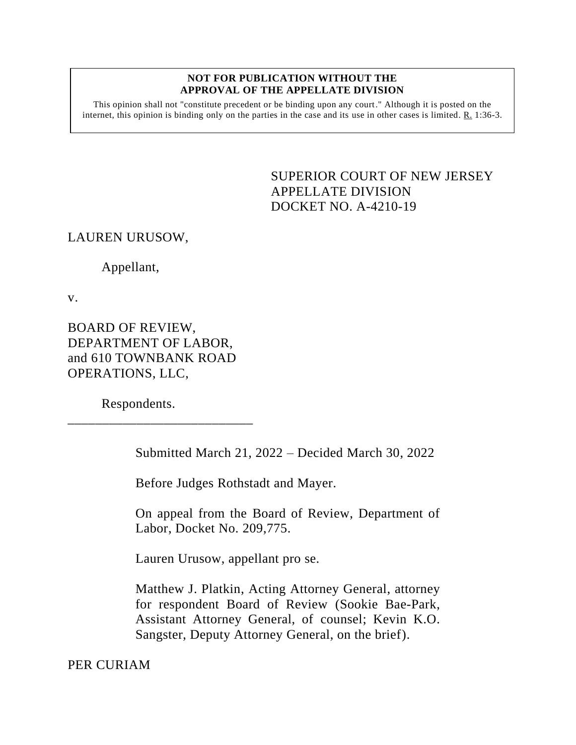## **NOT FOR PUBLICATION WITHOUT THE APPROVAL OF THE APPELLATE DIVISION**

This opinion shall not "constitute precedent or be binding upon any court." Although it is posted on the internet, this opinion is binding only on the parties in the case and its use in other cases is limited.  $R_1$  1:36-3.

> <span id="page-0-0"></span>SUPERIOR COURT OF NEW JERSEY APPELLATE DIVISION DOCKET NO. A-4210-19

LAUREN URUSOW,

Appellant,

v.

BOARD OF REVIEW, DEPARTMENT OF LABOR, and 610 TOWNBANK ROAD OPERATIONS, LLC,

\_\_\_\_\_\_\_\_\_\_\_\_\_\_\_\_\_\_\_\_\_\_\_\_\_\_\_

Respondents.

Submitted March 21, 2022 – Decided March 30, 2022

Before Judges Rothstadt and Mayer.

On appeal from the Board of Review, Department of Labor, Docket No. 209,775.

Lauren Urusow, appellant pro se.

Matthew J. Platkin, Acting Attorney General, attorney for respondent Board of Review (Sookie Bae-Park, Assistant Attorney General, of counsel; Kevin K.O. Sangster, Deputy Attorney General, on the brief).

PER CURIAM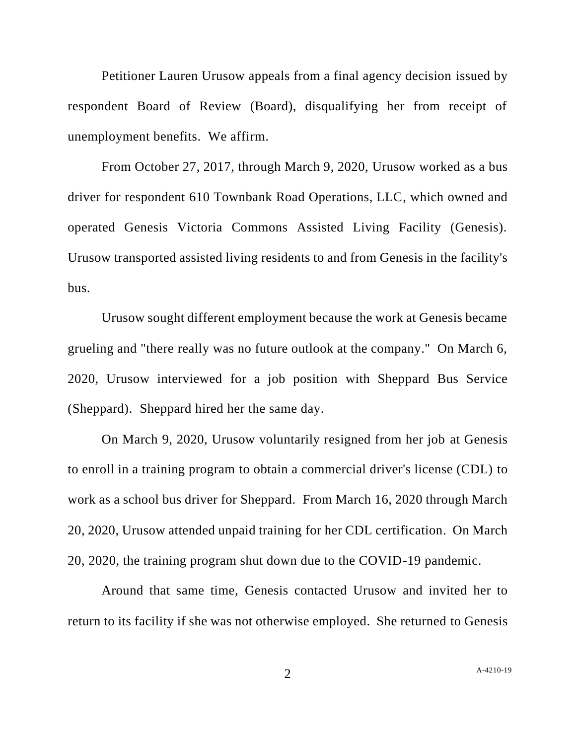Petitioner Lauren Urusow appeals from a final agency decision issued by respondent Board of Review (Board), disqualifying her from receipt of unemployment benefits. We affirm.

From October 27, 2017, through March 9, 2020, Urusow worked as a bus driver for respondent 610 Townbank Road Operations, LLC, which owned and operated Genesis Victoria Commons Assisted Living Facility (Genesis). Urusow transported assisted living residents to and from Genesis in the facility's bus.

Urusow sought different employment because the work at Genesis became grueling and "there really was no future outlook at the company." On March 6, 2020, Urusow interviewed for a job position with Sheppard Bus Service (Sheppard). Sheppard hired her the same day.

On March 9, 2020, Urusow voluntarily resigned from her job at Genesis to enroll in a training program to obtain a commercial driver's license (CDL) to work as a school bus driver for Sheppard. From March 16, 2020 through March 20, 2020, Urusow attended unpaid training for her CDL certification. On March 20, 2020, the training program shut down due to the COVID-19 pandemic.

Around that same time, Genesis contacted Urusow and invited her to return to its facility if she was not otherwise employed. She returned to Genesis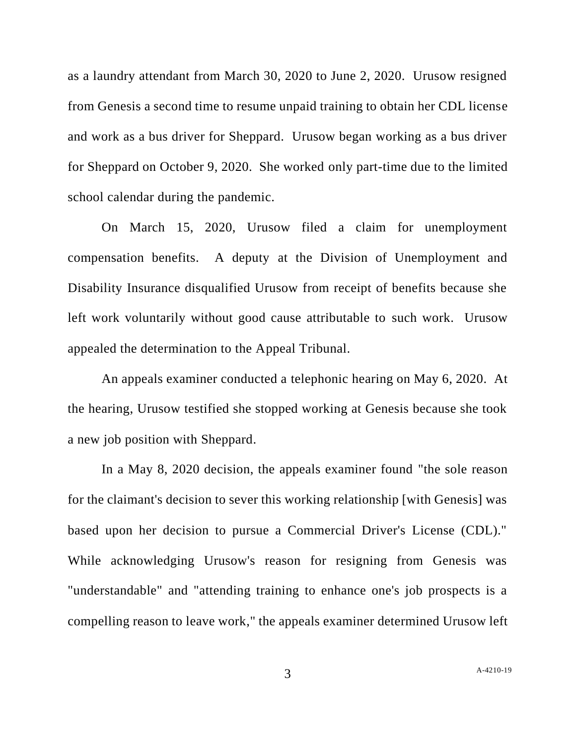as a laundry attendant from March 30, 2020 to June 2, 2020. Urusow resigned from Genesis a second time to resume unpaid training to obtain her CDL license and work as a bus driver for Sheppard. Urusow began working as a bus driver for Sheppard on October 9, 2020. She worked only part-time due to the limited school calendar during the pandemic.

On March 15, 2020, Urusow filed a claim for unemployment compensation benefits. A deputy at the Division of Unemployment and Disability Insurance disqualified Urusow from receipt of benefits because she left work voluntarily without good cause attributable to such work. Urusow appealed the determination to the Appeal Tribunal.

An appeals examiner conducted a telephonic hearing on May 6, 2020. At the hearing, Urusow testified she stopped working at Genesis because she took a new job position with Sheppard.

In a May 8, 2020 decision, the appeals examiner found "the sole reason for the claimant's decision to sever this working relationship [with Genesis] was based upon her decision to pursue a Commercial Driver's License (CDL)." While acknowledging Urusow's reason for resigning from Genesis was "understandable" and "attending training to enhance one's job prospects is a compelling reason to leave work," the appeals examiner determined Urusow left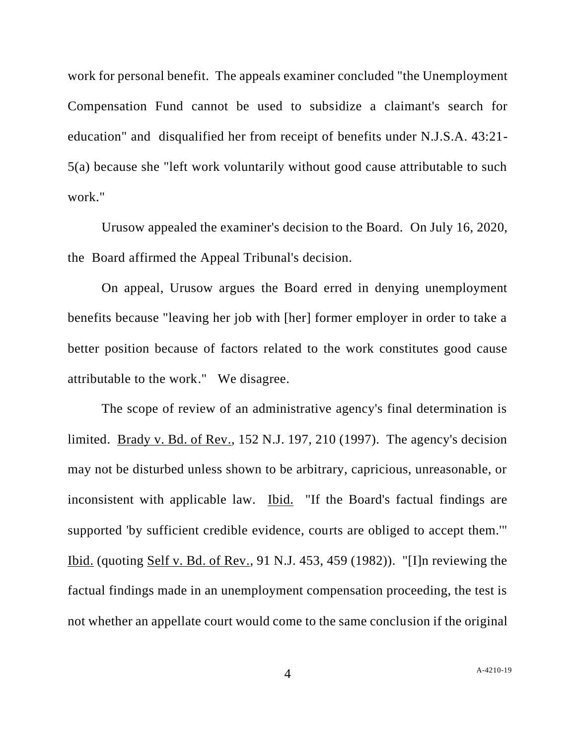work for personal benefit. The appeals examiner concluded "the Unemployment Compensation Fund cannot be used to subsidize a claimant's search for education" and disqualified her from receipt of benefits under N.J.S.A. 43:21- 5(a) because she "left work voluntarily without good cause attributable to such work."

Urusow appealed the examiner's decision to the Board. On July 16, 2020, the Board affirmed the Appeal Tribunal's decision.

On appeal, Urusow argues the Board erred in denying unemployment benefits because "leaving her job with [her] former employer in order to take a better position because of factors related to the work constitutes good cause attributable to the work." We disagree.

The scope of review of an administrative agency's final determination is limited. Brady v. Bd. of Rev., 152 N.J. 197, 210 (1997). The agency's decision may not be disturbed unless shown to be arbitrary, capricious, unreasonable, or inconsistent with applicable law. Ibid. "If the Board's factual findings are supported 'by sufficient credible evidence, courts are obliged to accept them.'" Ibid. (quoting Self v. Bd. of Rev., 91 N.J. 453, 459 (1982)). "[I]n reviewing the factual findings made in an unemployment compensation proceeding, the test is not whether an appellate court would come to the same conclusion if the original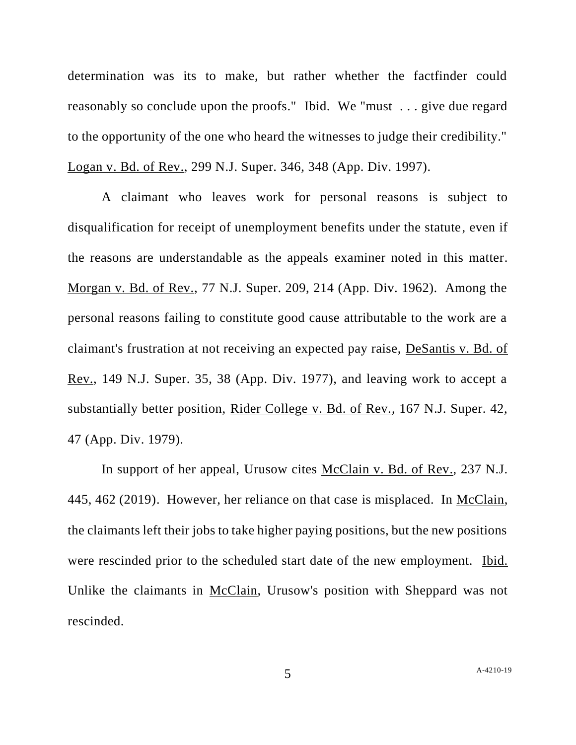determination was its to make, but rather whether the factfinder could reasonably so conclude upon the proofs." Ibid. We "must . . . give due regard to the opportunity of the one who heard the witnesses to judge their credibility." Logan v. Bd. of Rev., 299 N.J. Super. 346, 348 (App. Div. 1997).

A claimant who leaves work for personal reasons is subject to disqualification for receipt of unemployment benefits under the statute, even if the reasons are understandable as the appeals examiner noted in this matter. Morgan v. Bd. of Rev., 77 N.J. Super. 209, 214 (App. Div. 1962). Among the personal reasons failing to constitute good cause attributable to the work are a claimant's frustration at not receiving an expected pay raise, DeSantis v. Bd. of Rev., 149 N.J. Super. 35, 38 (App. Div. 1977), and leaving work to accept a substantially better position, Rider College v. Bd. of Rev., 167 N.J. Super. 42, 47 (App. Div. 1979).

In support of her appeal, Urusow cites McClain v. Bd. of Rev., 237 N.J. 445, 462 (2019). However, her reliance on that case is misplaced. In McClain, the claimants left their jobs to take higher paying positions, but the new positions were rescinded prior to the scheduled start date of the new employment. Ibid. Unlike the claimants in McClain, Urusow's position with Sheppard was not rescinded.